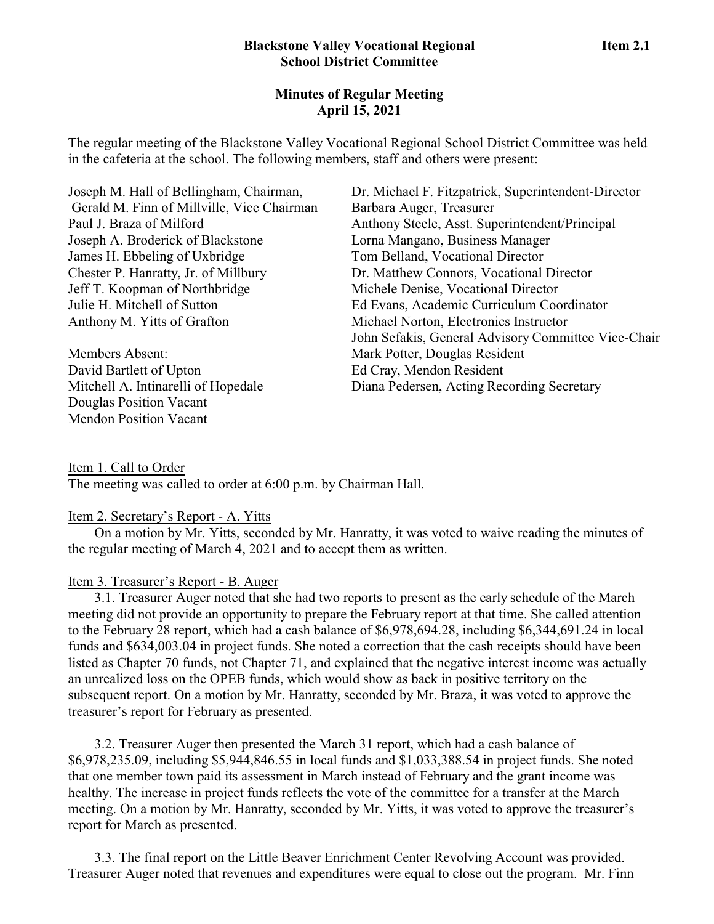# **Blackstone Valley Vocational Regional Item 2.1 School District Committee**

# **Minutes of Regular Meeting April 15, 2021**

The regular meeting of the Blackstone Valley Vocational Regional School District Committee was held in the cafeteria at the school. The following members, staff and others were present:

| Joseph M. Hall of Bellingham, Chairman,    | Dr. Michael F. Fitzpatrick, Superintendent-Director |
|--------------------------------------------|-----------------------------------------------------|
| Gerald M. Finn of Millville, Vice Chairman | Barbara Auger, Treasurer                            |
| Paul J. Braza of Milford                   | Anthony Steele, Asst. Superintendent/Principal      |
| Joseph A. Broderick of Blackstone          | Lorna Mangano, Business Manager                     |
| James H. Ebbeling of Uxbridge              | Tom Belland, Vocational Director                    |
| Chester P. Hanratty, Jr. of Millbury       | Dr. Matthew Connors, Vocational Director            |
| Jeff T. Koopman of Northbridge             | Michele Denise, Vocational Director                 |
| Julie H. Mitchell of Sutton                | Ed Evans, Academic Curriculum Coordinator           |
| Anthony M. Yitts of Grafton                | Michael Norton, Electronics Instructor              |
|                                            | John Sefakis, General Advisory Committee Vice-Chair |
| <b>Members Absent:</b>                     | Mark Potter, Douglas Resident                       |
| David Bartlett of Upton                    | Ed Cray, Mendon Resident                            |
| Mitchell A. Intinarelli of Hopedale        | Diana Pedersen, Acting Recording Secretary          |
| Douglas Position Vacant                    |                                                     |

Item 1. Call to Order The meeting was called to order at 6:00 p.m. by Chairman Hall.

# Item 2. Secretary's Report - A. Yitts

Mendon Position Vacant

On a motion by Mr. Yitts, seconded by Mr. Hanratty, it was voted to waive reading the minutes of the regular meeting of March 4, 2021 and to accept them as written.

# Item 3. Treasurer's Report - B. Auger

3.1. Treasurer Auger noted that she had two reports to present as the early schedule of the March meeting did not provide an opportunity to prepare the February report at that time. She called attention to the February 28 report, which had a cash balance of \$6,978,694.28, including \$6,344,691.24 in local funds and \$634,003.04 in project funds. She noted a correction that the cash receipts should have been listed as Chapter 70 funds, not Chapter 71, and explained that the negative interest income was actually an unrealized loss on the OPEB funds, which would show as back in positive territory on the subsequent report. On a motion by Mr. Hanratty, seconded by Mr. Braza, it was voted to approve the treasurer's report for February as presented.

3.2. Treasurer Auger then presented the March 31 report, which had a cash balance of \$6,978,235.09, including \$5,944,846.55 in local funds and \$1,033,388.54 in project funds. She noted that one member town paid its assessment in March instead of February and the grant income was healthy. The increase in project funds reflects the vote of the committee for a transfer at the March meeting. On a motion by Mr. Hanratty, seconded by Mr. Yitts, it was voted to approve the treasurer's report for March as presented.

3.3. The final report on the Little Beaver Enrichment Center Revolving Account was provided. Treasurer Auger noted that revenues and expenditures were equal to close out the program. Mr. Finn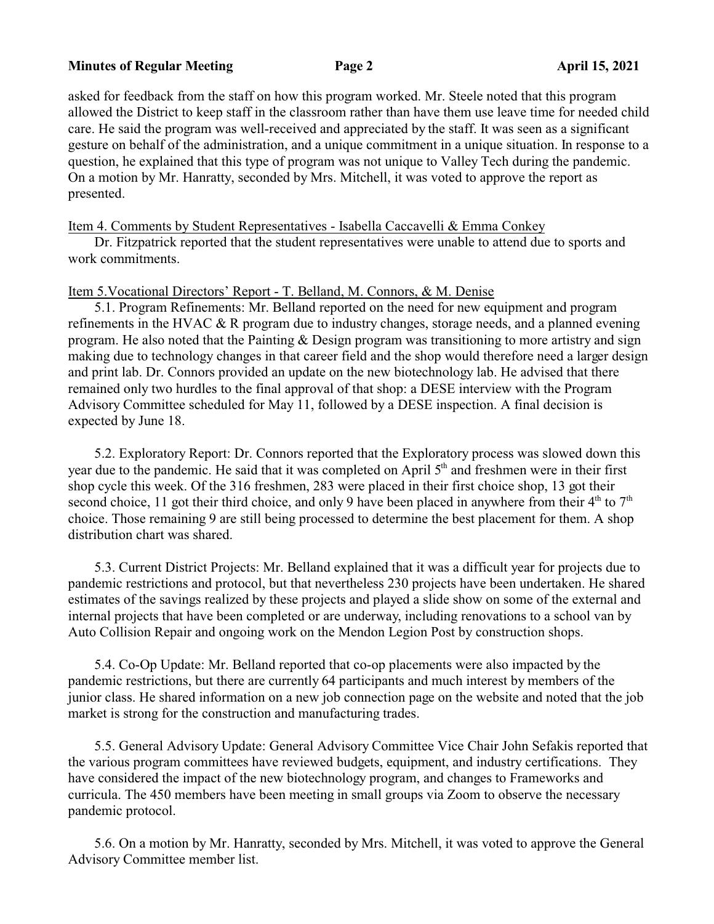### **Minutes of Regular Meeting Page 2 April 15, 2021**

asked for feedback from the staff on how this program worked. Mr. Steele noted that this program allowed the District to keep staff in the classroom rather than have them use leave time for needed child care. He said the program was well-received and appreciated by the staff. It was seen as a significant gesture on behalf of the administration, and a unique commitment in a unique situation. In response to a question, he explained that this type of program was not unique to Valley Tech during the pandemic. On a motion by Mr. Hanratty, seconded by Mrs. Mitchell, it was voted to approve the report as presented.

Item 4. Comments by Student Representatives - Isabella Caccavelli & Emma Conkey

Dr. Fitzpatrick reported that the student representatives were unable to attend due to sports and work commitments.

### Item 5.Vocational Directors' Report - T. Belland, M. Connors, & M. Denise

5.1. Program Refinements: Mr. Belland reported on the need for new equipment and program refinements in the HVAC  $\&$  R program due to industry changes, storage needs, and a planned evening program. He also noted that the Painting & Design program was transitioning to more artistry and sign making due to technology changes in that career field and the shop would therefore need a larger design and print lab. Dr. Connors provided an update on the new biotechnology lab. He advised that there remained only two hurdles to the final approval of that shop: a DESE interview with the Program Advisory Committee scheduled for May 11, followed by a DESE inspection. A final decision is expected by June 18.

5.2. Exploratory Report: Dr. Connors reported that the Exploratory process was slowed down this year due to the pandemic. He said that it was completed on April 5<sup>th</sup> and freshmen were in their first shop cycle this week. Of the 316 freshmen, 283 were placed in their first choice shop, 13 got their second choice, 11 got their third choice, and only 9 have been placed in anywhere from their  $4<sup>th</sup>$  to  $7<sup>th</sup>$ choice. Those remaining 9 are still being processed to determine the best placement for them. A shop distribution chart was shared.

5.3. Current District Projects: Mr. Belland explained that it was a difficult year for projects due to pandemic restrictions and protocol, but that nevertheless 230 projects have been undertaken. He shared estimates of the savings realized by these projects and played a slide show on some of the external and internal projects that have been completed or are underway, including renovations to a school van by Auto Collision Repair and ongoing work on the Mendon Legion Post by construction shops.

5.4. Co-Op Update: Mr. Belland reported that co-op placements were also impacted by the pandemic restrictions, but there are currently 64 participants and much interest by members of the junior class. He shared information on a new job connection page on the website and noted that the job market is strong for the construction and manufacturing trades.

5.5. General Advisory Update: General Advisory Committee Vice Chair John Sefakis reported that the various program committees have reviewed budgets, equipment, and industry certifications. They have considered the impact of the new biotechnology program, and changes to Frameworks and curricula. The 450 members have been meeting in small groups via Zoom to observe the necessary pandemic protocol.

5.6. On a motion by Mr. Hanratty, seconded by Mrs. Mitchell, it was voted to approve the General Advisory Committee member list.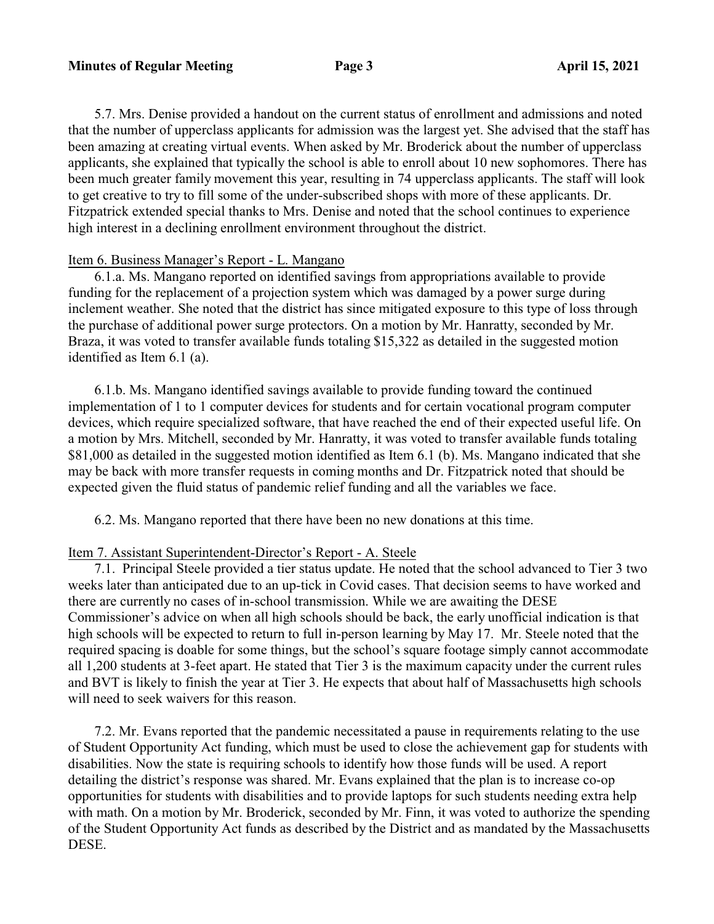5.7. Mrs. Denise provided a handout on the current status of enrollment and admissions and noted that the number of upperclass applicants for admission was the largest yet. She advised that the staff has been amazing at creating virtual events. When asked by Mr. Broderick about the number of upperclass applicants, she explained that typically the school is able to enroll about 10 new sophomores. There has been much greater family movement this year, resulting in 74 upperclass applicants. The staff will look to get creative to try to fill some of the under-subscribed shops with more of these applicants. Dr. Fitzpatrick extended special thanks to Mrs. Denise and noted that the school continues to experience high interest in a declining enrollment environment throughout the district.

## Item 6. Business Manager's Report - L. Mangano

6.1.a. Ms. Mangano reported on identified savings from appropriations available to provide funding for the replacement of a projection system which was damaged by a power surge during inclement weather. She noted that the district has since mitigated exposure to this type of loss through the purchase of additional power surge protectors. On a motion by Mr. Hanratty, seconded by Mr. Braza, it was voted to transfer available funds totaling \$15,322 as detailed in the suggested motion identified as Item 6.1 (a).

6.1.b. Ms. Mangano identified savings available to provide funding toward the continued implementation of 1 to 1 computer devices for students and for certain vocational program computer devices, which require specialized software, that have reached the end of their expected useful life. On a motion by Mrs. Mitchell, seconded by Mr. Hanratty, it was voted to transfer available funds totaling \$81,000 as detailed in the suggested motion identified as Item 6.1 (b). Ms. Mangano indicated that she may be back with more transfer requests in coming months and Dr. Fitzpatrick noted that should be expected given the fluid status of pandemic relief funding and all the variables we face.

6.2. Ms. Mangano reported that there have been no new donations at this time.

### Item 7. Assistant Superintendent-Director's Report - A. Steele

7.1. Principal Steele provided a tier status update. He noted that the school advanced to Tier 3 two weeks later than anticipated due to an up-tick in Covid cases. That decision seems to have worked and there are currently no cases of in-school transmission. While we are awaiting the DESE Commissioner's advice on when all high schools should be back, the early unofficial indication is that high schools will be expected to return to full in-person learning by May 17. Mr. Steele noted that the required spacing is doable for some things, but the school's square footage simply cannot accommodate all 1,200 students at 3-feet apart. He stated that Tier 3 is the maximum capacity under the current rules and BVT is likely to finish the year at Tier 3. He expects that about half of Massachusetts high schools will need to seek waivers for this reason.

7.2. Mr. Evans reported that the pandemic necessitated a pause in requirements relating to the use of Student Opportunity Act funding, which must be used to close the achievement gap for students with disabilities. Now the state is requiring schools to identify how those funds will be used. A report detailing the district's response was shared. Mr. Evans explained that the plan is to increase co-op opportunities for students with disabilities and to provide laptops for such students needing extra help with math. On a motion by Mr. Broderick, seconded by Mr. Finn, it was voted to authorize the spending of the Student Opportunity Act funds as described by the District and as mandated by the Massachusetts DESE.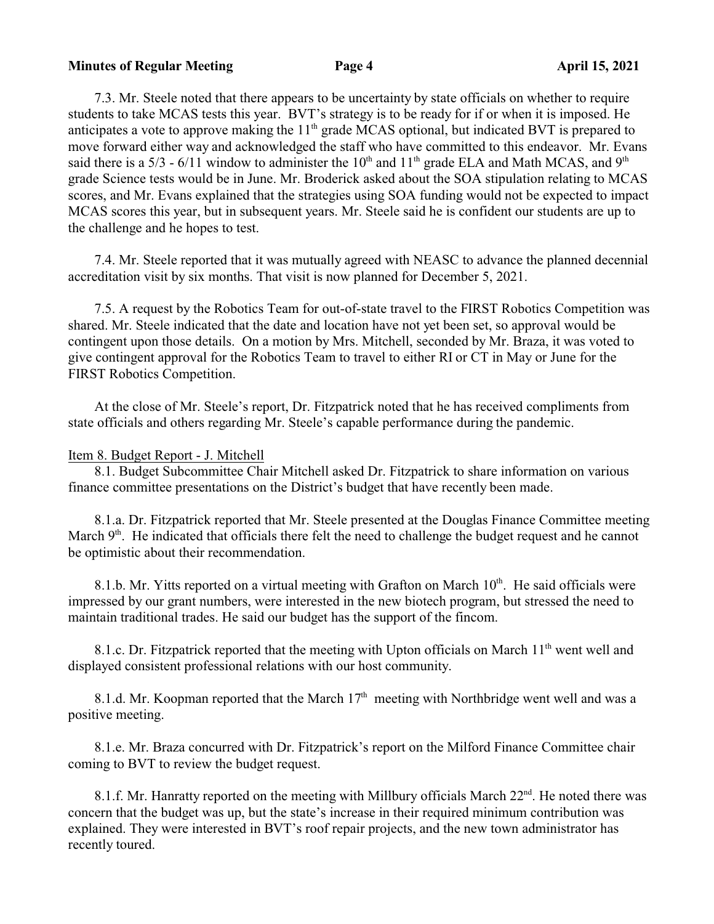### **Minutes of Regular Meeting Page 4 April 15, 2021**

7.3. Mr. Steele noted that there appears to be uncertainty by state officials on whether to require students to take MCAS tests this year. BVT's strategy is to be ready for if or when it is imposed. He anticipates a vote to approve making the 11<sup>th</sup> grade MCAS optional, but indicated BVT is prepared to move forward either way and acknowledged the staff who have committed to this endeavor. Mr. Evans said there is a 5/3 - 6/11 window to administer the 10<sup>th</sup> and 11<sup>th</sup> grade ELA and Math MCAS, and 9<sup>th</sup> grade Science tests would be in June. Mr. Broderick asked about the SOA stipulation relating to MCAS scores, and Mr. Evans explained that the strategies using SOA funding would not be expected to impact MCAS scores this year, but in subsequent years. Mr. Steele said he is confident our students are up to the challenge and he hopes to test.

7.4. Mr. Steele reported that it was mutually agreed with NEASC to advance the planned decennial accreditation visit by six months. That visit is now planned for December 5, 2021.

7.5. A request by the Robotics Team for out-of-state travel to the FIRST Robotics Competition was shared. Mr. Steele indicated that the date and location have not yet been set, so approval would be contingent upon those details. On a motion by Mrs. Mitchell, seconded by Mr. Braza, it was voted to give contingent approval for the Robotics Team to travel to either RI or CT in May or June for the FIRST Robotics Competition.

At the close of Mr. Steele's report, Dr. Fitzpatrick noted that he has received compliments from state officials and others regarding Mr. Steele's capable performance during the pandemic.

### Item 8. Budget Report - J. Mitchell

8.1. Budget Subcommittee Chair Mitchell asked Dr. Fitzpatrick to share information on various finance committee presentations on the District's budget that have recently been made.

8.1.a. Dr. Fitzpatrick reported that Mr. Steele presented at the Douglas Finance Committee meeting March  $9<sup>th</sup>$ . He indicated that officials there felt the need to challenge the budget request and he cannot be optimistic about their recommendation.

8.1.b. Mr. Yitts reported on a virtual meeting with Grafton on March 10<sup>th</sup>. He said officials were impressed by our grant numbers, were interested in the new biotech program, but stressed the need to maintain traditional trades. He said our budget has the support of the fincom.

8.1.c. Dr. Fitzpatrick reported that the meeting with Upton officials on March  $11<sup>th</sup>$  went well and displayed consistent professional relations with our host community.

8.1.d. Mr. Koopman reported that the March  $17<sup>th</sup>$  meeting with Northbridge went well and was a positive meeting.

8.1.e. Mr. Braza concurred with Dr. Fitzpatrick's report on the Milford Finance Committee chair coming to BVT to review the budget request.

8.1.f. Mr. Hanratty reported on the meeting with Millbury officials March  $22<sup>nd</sup>$ . He noted there was concern that the budget was up, but the state's increase in their required minimum contribution was explained. They were interested in BVT's roof repair projects, and the new town administrator has recently toured.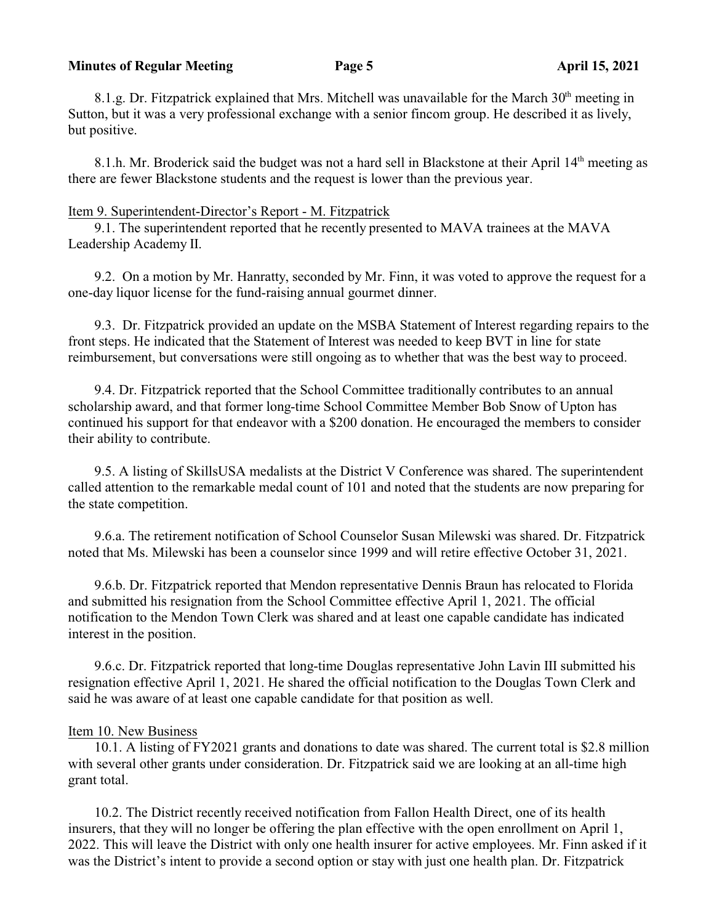### **Minutes of Regular Meeting Page 5 April 15, 2021**

8.1.g. Dr. Fitzpatrick explained that Mrs. Mitchell was unavailable for the March  $30<sup>th</sup>$  meeting in Sutton, but it was a very professional exchange with a senior fincom group. He described it as lively, but positive.

8.1.h. Mr. Broderick said the budget was not a hard sell in Blackstone at their April 14<sup>th</sup> meeting as there are fewer Blackstone students and the request is lower than the previous year.

## Item 9. Superintendent-Director's Report - M. Fitzpatrick

9.1. The superintendent reported that he recently presented to MAVA trainees at the MAVA Leadership Academy II.

9.2. On a motion by Mr. Hanratty, seconded by Mr. Finn, it was voted to approve the request for a one-day liquor license for the fund-raising annual gourmet dinner.

9.3. Dr. Fitzpatrick provided an update on the MSBA Statement of Interest regarding repairs to the front steps. He indicated that the Statement of Interest was needed to keep BVT in line for state reimbursement, but conversations were still ongoing as to whether that was the best way to proceed.

9.4. Dr. Fitzpatrick reported that the School Committee traditionally contributes to an annual scholarship award, and that former long-time School Committee Member Bob Snow of Upton has continued his support for that endeavor with a \$200 donation. He encouraged the members to consider their ability to contribute.

9.5. A listing of SkillsUSA medalists at the District V Conference was shared. The superintendent called attention to the remarkable medal count of 101 and noted that the students are now preparing for the state competition.

9.6.a. The retirement notification of School Counselor Susan Milewski was shared. Dr. Fitzpatrick noted that Ms. Milewski has been a counselor since 1999 and will retire effective October 31, 2021.

9.6.b. Dr. Fitzpatrick reported that Mendon representative Dennis Braun has relocated to Florida and submitted his resignation from the School Committee effective April 1, 2021. The official notification to the Mendon Town Clerk was shared and at least one capable candidate has indicated interest in the position.

9.6.c. Dr. Fitzpatrick reported that long-time Douglas representative John Lavin III submitted his resignation effective April 1, 2021. He shared the official notification to the Douglas Town Clerk and said he was aware of at least one capable candidate for that position as well.

### Item 10. New Business

10.1. A listing of FY2021 grants and donations to date was shared. The current total is \$2.8 million with several other grants under consideration. Dr. Fitzpatrick said we are looking at an all-time high grant total.

10.2. The District recently received notification from Fallon Health Direct, one of its health insurers, that they will no longer be offering the plan effective with the open enrollment on April 1, 2022. This will leave the District with only one health insurer for active employees. Mr. Finn asked if it was the District's intent to provide a second option or stay with just one health plan. Dr. Fitzpatrick